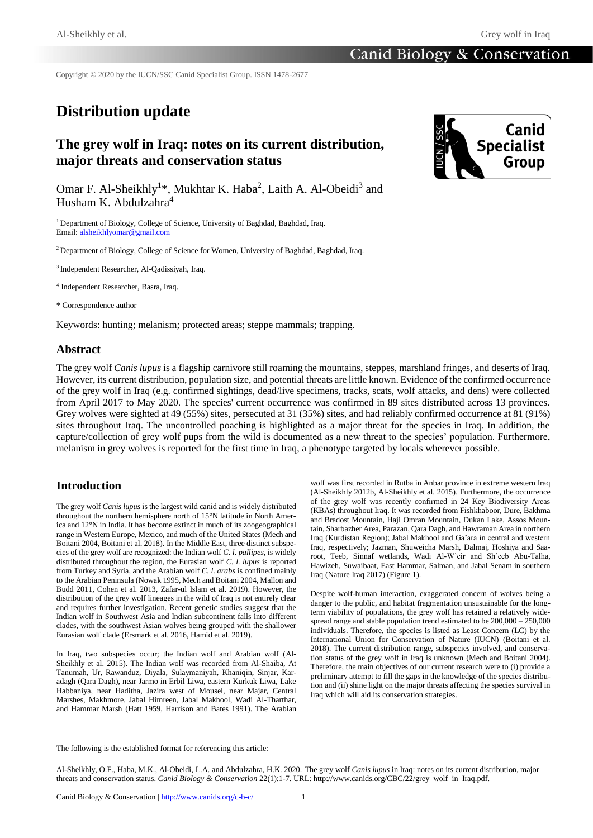Copyright © 2020 by the IUCN/SSC Canid Specialist Group. ISSN 1478-2677

# **Distribution update**

## **The grey wolf in Iraq: notes on its current distribution, major threats and conservation status**



Omar F. Al-Sheikhly<sup>1\*</sup>, Mukhtar K. Haba<sup>2</sup>, Laith A. Al-Obeidi<sup>3</sup> and Husham K. Abdulzahra $4$ 

<sup>1</sup> Department of Biology, College of Science, University of Baghdad, Baghdad, Iraq. Email[: alsheikhlyomar@gmail.com](mailto:alsheikhlyomar@gmail.com)

<sup>2</sup> Department of Biology, College of Science for Women, University of Baghdad, Baghdad, Iraq.

<sup>3</sup>Independent Researcher, Al-Qadissiyah, Iraq.

4 Independent Researcher, Basra, Iraq.

\* Correspondence author

Keywords: hunting; melanism; protected areas; steppe mammals; trapping*.*

### **Abstract**

The grey wolf *Canis lupus* is a flagship carnivore still roaming the mountains, steppes, marshland fringes, and deserts of Iraq. However, its current distribution, population size, and potential threats are little known. Evidence of the confirmed occurrence of the grey wolf in Iraq (e.g. confirmed sightings, dead/live specimens, tracks, scats, wolf attacks, and dens) were collected from April 2017 to May 2020. The species' current occurrence was confirmed in 89 sites distributed across 13 provinces. Grey wolves were sighted at 49 (55%) sites, persecuted at 31 (35%) sites, and had reliably confirmed occurrence at 81 (91%) sites throughout Iraq. The uncontrolled poaching is highlighted as a major threat for the species in Iraq. In addition, the capture/collection of grey wolf pups from the wild is documented as a new threat to the species' population. Furthermore, melanism in grey wolves is reported for the first time in Iraq, a phenotype targeted by locals wherever possible.

## **Introduction**

The grey wolf *Canis lupus* is the largest wild canid and is widely distributed throughout the northern hemisphere north of 15°N latitude in North America and 12°N in India. It has become extinct in much of its zoogeographical range in Western Europe, Mexico, and much of the United States (Mech and Boitani 2004, Boitani et al. 2018). In the Middle East, three distinct subspecies of the grey wolf are recognized: the Indian wolf *C. l. pallipes*, is widely distributed throughout the region, the Eurasian wolf *C. l. lupus* is reported from Turkey and Syria, and the Arabian wolf *C. l. arabs* is confined mainly to the Arabian Peninsula (Nowak 1995, Mech and Boitani 2004, Mallon and Budd 2011, Cohen et al. 2013, Zafar-ul Islam et al. 2019). However, the distribution of the grey wolf lineages in the wild of Iraq is not entirely clear and requires further investigation. Recent genetic studies suggest that the Indian wolf in Southwest Asia and Indian subcontinent falls into different clades, with the southwest Asian wolves being grouped with the shallower Eurasian wolf clade (Ersmark et al. 2016, Hamid et al. 2019).

In Iraq, two subspecies occur; the Indian wolf and Arabian wolf (Al-Sheikhly et al. 2015). The Indian wolf was recorded from Al-Shaiba, At Tanumah, Ur, Rawanduz, Diyala, Sulaymaniyah, Khaniqin, Sinjar, Karadagh (Qara Dagh), near Jarmo in Erbil Liwa, eastern Kurkuk Liwa, Lake Habbaniya, near Haditha, Jazira west of Mousel, near Majar, Central Marshes, Makhmore, Jabal Himreen, Jabal Makhool, Wadi Al-Tharthar, and Hammar Marsh (Hatt 1959, Harrison and Bates 1991). The Arabian

wolf was first recorded in Rutba in Anbar province in extreme western Iraq (Al-Sheikhly 2012b, Al-Sheikhly et al. 2015). Furthermore, the occurrence of the grey wolf was recently confirmed in 24 Key Biodiversity Areas (KBAs) throughout Iraq. It was recorded from Fishkhaboor, Dure, Bakhma and Bradost Mountain, Haji Omran Mountain, Dukan Lake, Assos Mountain, Sharbazher Area, Parazan, Qara Dagh, and Hawraman Area in northern Iraq (Kurdistan Region); Jabal Makhool and Ga'ara in central and western Iraq, respectively; Jazman, Shuweicha Marsh, Dalmaj, Hoshiya and Saaroot, Teeb, Sinnaf wetlands, Wadi Al-W'eir and Sh'eeb Abu-Talha, Hawizeh, Suwaibaat, East Hammar, Salman, and Jabal Senam in southern Iraq (Nature Iraq 2017) (Figure 1).

Despite wolf-human interaction, exaggerated concern of wolves being a danger to the public, and habitat fragmentation unsustainable for the longterm viability of populations, the grey wolf has retained a relatively widespread range and stable population trend estimated to be 200,000 – 250,000 individuals. Therefore, the species is listed as Least Concern (LC) by the International Union for Conservation of Nature (IUCN) (Boitani et al. 2018). The current distribution range, subspecies involved, and conservation status of the grey wolf in Iraq is unknown (Mech and Boitani 2004). Therefore, the main objectives of our current research were to (i) provide a preliminary attempt to fill the gaps in the knowledge of the species distribution and (ii) shine light on the major threats affecting the species survival in Iraq which will aid its conservation strategies.

The following is the established format for referencing this article:

Al-Sheikhly, O.F., Haba, M.K., Al-Obeidi, L.A. and Abdulzahra, H.K. 2020. The grey wolf *Canis lupus* in Iraq: notes on its current distribution, major threats and conservation status. *Canid Biology & Conservation* 22(1):1-7. URL: http://www.canids.org/CBC/22/grey\_wolf\_in\_Iraq.pdf.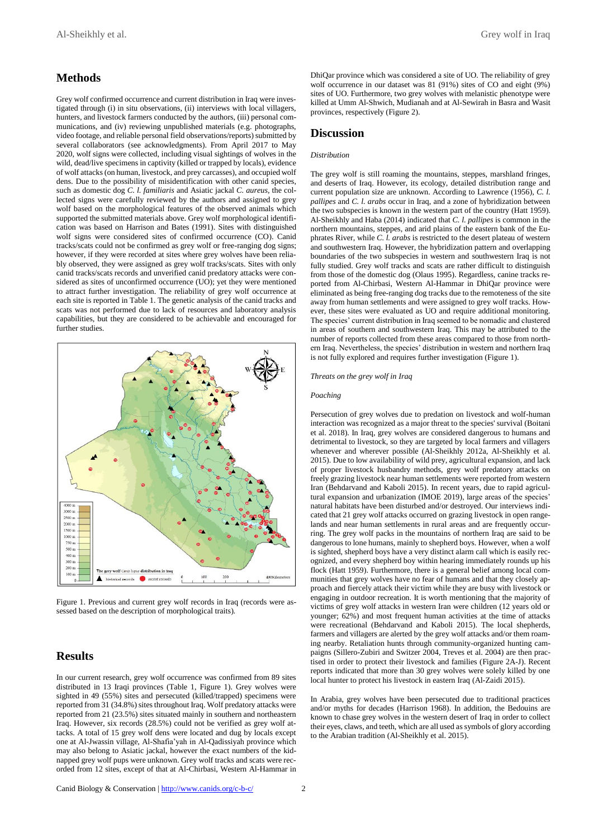## **Methods**

Grey wolf confirmed occurrence and current distribution in Iraq were investigated through (i) in situ observations, (ii) interviews with local villagers, hunters, and livestock farmers conducted by the authors, (iii) personal communications, and (iv) reviewing unpublished materials (e.g. photographs, video footage, and reliable personal field observations/reports) submitted by several collaborators (see acknowledgments). From April 2017 to May 2020, wolf signs were collected, including visual sightings of wolves in the wild, dead/live specimens in captivity (killed or trapped by locals), evidence of wolf attacks (on human, livestock, and prey carcasses), and occupied wolf dens. Due to the possibility of misidentification with other canid species, such as domestic dog *C. l. familiaris* and Asiatic jackal *C. aureus*, the collected signs were carefully reviewed by the authors and assigned to grey wolf based on the morphological features of the observed animals which supported the submitted materials above. Grey wolf morphological identification was based on Harrison and Bates (1991). Sites with distinguished wolf signs were considered sites of confirmed occurrence (CO). Canid tracks/scats could not be confirmed as grey wolf or free-ranging dog signs; however, if they were recorded at sites where grey wolves have been reliably observed, they were assigned as grey wolf tracks/scats. Sites with only canid tracks/scats records and unverified canid predatory attacks were considered as sites of unconfirmed occurrence (UO); yet they were mentioned to attract further investigation. The reliability of grey wolf occurrence at each site is reported in Table 1. The genetic analysis of the canid tracks and scats was not performed due to lack of resources and laboratory analysis capabilities, but they are considered to be achievable and encouraged for further studies.



Figure 1. Previous and current grey wolf records in Iraq (records were assessed based on the description of morphological traits).

## **Results**

In our current research, grey wolf occurrence was confirmed from 89 sites distributed in 13 Iraqi provinces (Table 1, Figure 1). Grey wolves were sighted in 49 (55%) sites and persecuted (killed/trapped) specimens were reported from 31 (34.8%) sites throughout Iraq. Wolf predatory attacks were reported from 21 (23.5%) sites situated mainly in southern and northeastern Iraq. However, six records (28.5%) could not be verified as grey wolf attacks. A total of 15 grey wolf dens were located and dug by locals except one at Al-Jwassin village, Al-Shafia'yah in Al-Qadissiyah province which may also belong to Asiatic jackal, however the exact numbers of the kidnapped grey wolf pups were unknown. Grey wolf tracks and scats were recorded from 12 sites, except of that at Al-Chirbasi, Western Al-Hammar in DhiQar province which was considered a site of UO. The reliability of grey wolf occurrence in our dataset was 81 (91%) sites of CO and eight (9%) sites of UO. Furthermore, two grey wolves with melanistic phenotype were killed at Umm Al-Shwich, Mudianah and at Al-Sewirah in Basra and Wasit provinces, respectively (Figure 2).

## **Discussion**

#### *Distribution*

The grey wolf is still roaming the mountains, steppes, marshland fringes, and deserts of Iraq. However, its ecology, detailed distribution range and current population size are unknown. According to Lawrence (1956), *C. l. pallipes* and *C. l. arabs* occur in Iraq, and a zone of hybridization between the two subspecies is known in the western part of the country (Hatt 1959). Al-Sheikhly and Haba (2014) indicated that *C. l. pallipes* is common in the northern mountains, steppes, and arid plains of the eastern bank of the Euphrates River, while *C. l. arabs* is restricted to the desert plateau of western and southwestern Iraq. However, the hybridization pattern and overlapping boundaries of the two subspecies in western and southwestern Iraq is not fully studied. Grey wolf tracks and scats are rather difficult to distinguish from those of the domestic dog (Olaus 1995). Regardless, canine tracks reported from Al-Chirbasi, Western Al-Hammar in DhiQar province were eliminated as being free-ranging dog tracks due to the remoteness of the site away from human settlements and were assigned to grey wolf tracks. However, these sites were evaluated as UO and require additional monitoring. The species' current distribution in Iraq seemed to be nomadic and clustered in areas of southern and southwestern Iraq. This may be attributed to the number of reports collected from these areas compared to those from northern Iraq. Nevertheless, the species' distribution in western and northern Iraq is not fully explored and requires further investigation (Figure 1).

*Threats on the grey wolf in Iraq*

#### *Poaching*

Persecution of grey wolves due to predation on livestock and wolf-human interaction was recognized as a major threat to the species' survival (Boitani et al. 2018). In Iraq, grey wolves are considered dangerous to humans and detrimental to livestock, so they are targeted by local farmers and villagers whenever and wherever possible (Al-Sheikhly 2012a, Al-Sheikhly et al. 2015). Due to low availability of wild prey, agricultural expansion, and lack of proper livestock husbandry methods, grey wolf predatory attacks on freely grazing livestock near human settlements were reported from western Iran (Behdarvand and Kaboli 2015). In recent years, due to rapid agricultural expansion and urbanization (IMOE 2019), large areas of the species' natural habitats have been disturbed and/or destroyed. Our interviews indicated that 21 grey wolf attacks occurred on grazing livestock in open rangelands and near human settlements in rural areas and are frequently occurring. The grey wolf packs in the mountains of northern Iraq are said to be dangerous to lone humans, mainly to shepherd boys. However, when a wolf is sighted, shepherd boys have a very distinct alarm call which is easily recognized, and every shepherd boy within hearing immediately rounds up his flock (Hatt 1959). Furthermore, there is a general belief among local communities that grey wolves have no fear of humans and that they closely approach and fiercely attack their victim while they are busy with livestock or engaging in outdoor recreation. It is worth mentioning that the majority of victims of grey wolf attacks in western Iran were children (12 years old or younger; 62%) and most frequent human activities at the time of attacks were recreational (Behdarvand and Kaboli 2015). The local shepherds, farmers and villagers are alerted by the grey wolf attacks and/or them roaming nearby. Retaliation hunts through community-organized hunting campaigns (Sillero-Zubiri and Switzer 2004, Treves et al. 2004) are then practised in order to protect their livestock and families (Figure 2A-J). Recent reports indicated that more than 30 grey wolves were solely killed by one local hunter to protect his livestock in eastern Iraq (Al-Zaidi 2015).

In Arabia, grey wolves have been persecuted due to traditional practices and/or myths for decades (Harrison 1968). In addition, the Bedouins are known to chase grey wolves in the western desert of Iraq in order to collect their eyes, claws, and teeth, which are all used as symbols of glory according to the Arabian tradition (Al-Sheikhly et al. 2015).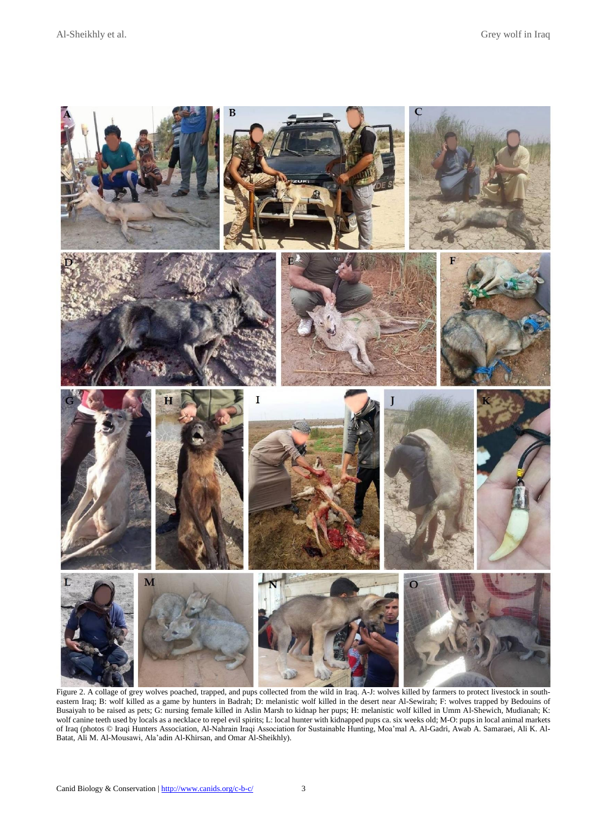

Figure 2. A collage of grey wolves poached, trapped, and pups collected from the wild in Iraq. A-J: wolves killed by farmers to protect livestock in southeastern Iraq; B: wolf killed as a game by hunters in Badrah; D: melanistic wolf killed in the desert near Al-Sewirah; F: wolves trapped by Bedouins of Busaiyah to be raised as pets; G: nursing female killed in Aslin Marsh to kidnap her pups; H: melanistic wolf killed in Umm Al-Shewich, Mudianah; K: wolf canine teeth used by locals as a necklace to repel evil spirits; L: local hunter with kidnapped pups ca. six weeks old; M-O: pups in local animal markets of Iraq (photos © Iraqi Hunters Association, Al-Nahrain Iraqi Association for Sustainable Hunting, Moa'mal A. Al-Gadri, Awab A. Samaraei, Ali K. Al-Batat, Ali M. Al-Mousawi, Ala'adin Al-Khirsan, and Omar Al-Sheikhly).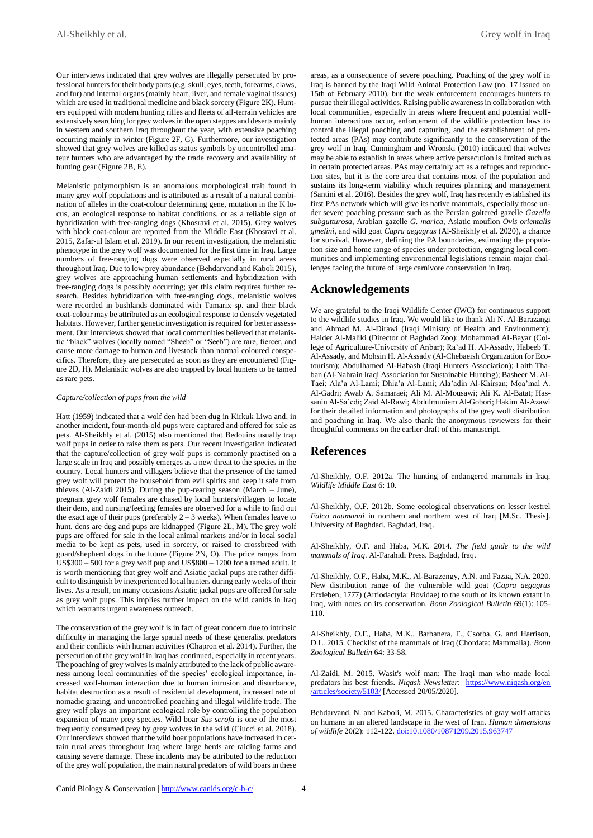Our interviews indicated that grey wolves are illegally persecuted by professional hunters for their body parts (e.g. skull, eyes, teeth, forearms, claws, and fur) and internal organs (mainly heart, liver, and female vaginal tissues) which are used in traditional medicine and black sorcery (Figure 2K). Hunters equipped with modern hunting rifles and fleets of all-terrain vehicles are extensively searching for grey wolves in the open steppes and deserts mainly in western and southern Iraq throughout the year, with extensive poaching occurring mainly in winter (Figure 2F, G). Furthermore, our investigation showed that grey wolves are killed as status symbols by uncontrolled amateur hunters who are advantaged by the trade recovery and availability of hunting gear (Figure 2B, E).

Melanistic polymorphism is an anomalous morphological trait found in many grey wolf populations and is attributed as a result of a natural combination of alleles in the coat-colour determining gene, mutation in the K locus, an ecological response to habitat conditions, or as a reliable sign of hybridization with free-ranging dogs (Khosravi et al. 2015). Grey wolves with black coat-colour are reported from the Middle East (Khosravi et al. 2015, Zafar-ul Islam et al. 2019). In our recent investigation, the melanistic phenotype in the grey wolf was documented for the first time in Iraq. Large numbers of free-ranging dogs were observed especially in rural areas throughout Iraq. Due to low prey abundance (Behdarvand and Kaboli 2015), grey wolves are approaching human settlements and hybridization with free-ranging dogs is possibly occurring; yet this claim requires further research. Besides hybridization with free-ranging dogs, melanistic wolves were recorded in bushlands dominated with Tamarix sp. and their black coat-colour may be attributed as an ecological response to densely vegetated habitats. However, further genetic investigation is required for better assessment. Our interviews showed that local communities believed that melanistic "black" wolves (locally named "Sheeb" or "Seeb") are rare, fiercer, and cause more damage to human and livestock than normal coloured conspecifics. Therefore, they are persecuted as soon as they are encountered (Figure 2D, H). Melanistic wolves are also trapped by local hunters to be tamed as rare pets.

#### *Capture/collection of pups from the wild*

Hatt (1959) indicated that a wolf den had been dug in Kirkuk Liwa and, in another incident, four-month-old pups were captured and offered for sale as pets. Al-Sheikhly et al. (2015) also mentioned that Bedouins usually trap wolf pups in order to raise them as pets. Our recent investigation indicated that the capture/collection of grey wolf pups is commonly practised on a large scale in Iraq and possibly emerges as a new threat to the species in the country. Local hunters and villagers believe that the presence of the tamed grey wolf will protect the household from evil spirits and keep it safe from thieves (Al-Zaidi 2015). During the pup-rearing season (March – June), pregnant grey wolf females are chased by local hunters/villagers to locate their dens, and nursing/feeding females are observed for a while to find out the exact age of their pups (preferably  $2 - 3$  weeks). When females leave to hunt, dens are dug and pups are kidnapped (Figure 2L, M). The grey wolf pups are offered for sale in the local animal markets and/or in local social media to be kept as pets, used in sorcery, or raised to crossbreed with guard/shepherd dogs in the future (Figure 2N, O). The price ranges from US\$300 – 500 for a grey wolf pup and US\$800 – 1200 for a tamed adult. It is worth mentioning that grey wolf and Asiatic jackal pups are rather difficult to distinguish by inexperienced local hunters during early weeks of their lives. As a result, on many occasions Asiatic jackal pups are offered for sale as grey wolf pups. This implies further impact on the wild canids in Iraq which warrants urgent awareness outreach.

The conservation of the grey wolf is in fact of great concern due to intrinsic difficulty in managing the large spatial needs of these generalist predators and their conflicts with human activities (Chapron et al. 2014). Further, the persecution of the grey wolf in Iraq has continued, especially in recent years. The poaching of grey wolves is mainly attributed to the lack of public awareness among local communities of the species' ecological importance, increased wolf-human interaction due to human intrusion and disturbance, habitat destruction as a result of residential development, increased rate of nomadic grazing, and uncontrolled poaching and illegal wildlife trade. The grey wolf plays an important ecological role by controlling the population expansion of many prey species. Wild boar *Sus scrofa* is one of the most frequently consumed prey by grey wolves in the wild (Ciucci et al. 2018). Our interviews showed that the wild boar populations have increased in certain rural areas throughout Iraq where large herds are raiding farms and causing severe damage. These incidents may be attributed to the reduction of the grey wolf population, the main natural predators of wild boars in these

areas, as a consequence of severe poaching. Poaching of the grey wolf in Iraq is banned by the Iraqi Wild Animal Protection Law (no. 17 issued on 15th of February 2010), but the weak enforcement encourages hunters to pursue their illegal activities. Raising public awareness in collaboration with local communities, especially in areas where frequent and potential wolfhuman interactions occur, enforcement of the wildlife protection laws to control the illegal poaching and capturing, and the establishment of protected areas (PAs) may contribute significantly to the conservation of the grey wolf in Iraq. Cunningham and Wronski (2010) indicated that wolves may be able to establish in areas where active persecution is limited such as in certain protected areas. PAs may certainly act as a refuges and reproduction sites, but it is the core area that contains most of the population and sustains its long-term viability which requires planning and management (Santini et al. 2016). Besides the grey wolf, Iraq has recently established its first PAs network which will give its native mammals, especially those under severe poaching pressure such as the Persian goitered gazelle *Gazella subgutturosa*, Arabian gazelle *G. marica*, Asiatic mouflon *Ovis orientalis gmelini*, and wild goat *Capra aegagrus* (Al-Sheikhly et al. 2020), a chance for survival. However, defining the PA boundaries, estimating the population size and home range of species under protection, engaging local communities and implementing environmental legislations remain major challenges facing the future of large carnivore conservation in Iraq.

## **Acknowledgements**

We are grateful to the Iraqi Wildlife Center (IWC) for continuous support to the wildlife studies in Iraq. We would like to thank Ali N. Al-Barazangi and Ahmad M. Al-Dirawi (Iraqi Ministry of Health and Environment); Haider Al-Maliki (Director of Baghdad Zoo); Mohammad Al-Bayar (College of Agriculture-University of Anbar); Ra'ad H. Al-Assady, Habeeb T. Al-Assady, and Mohsin H. Al-Assady (Al-Chebaeish Organization for Ecotourism); Abdulhamed Al-Habash (Iraqi Hunters Association); Laith Thaban (Al-Nahrain Iraqi Association for Sustainable Hunting); Basheer M. Al-Taei; Ala'a Al-Lami; Dhia'a Al-Lami; Ala'adin Al-Khirsan; Moa'mal A. Al-Gadri; Awab A. Samaraei; Ali M. Al-Mousawi; Ali K. Al-Batat; Hassanin Al-Sa'edi; Zaid Al-Rawi; Abdulmuniem Al-Gobori; Hakim Al-Azawi for their detailed information and photographs of the grey wolf distribution and poaching in Iraq. We also thank the anonymous reviewers for their thoughtful comments on the earlier draft of this manuscript.

### **References**

Al-Sheikhly, O.F. 2012a. The hunting of endangered mammals in Iraq. *Wildlife Middle East* 6: 10.

Al-Sheikhly, O.F. 2012b. Some ecological observations on lesser kestrel *Falco naumanni* in northern and northern west of Iraq [M.Sc. Thesis]. University of Baghdad. Baghdad, Iraq.

Al-Sheikhly, O.F. and Haba, M.K. 2014. *The field guide to the wild mammals of Iraq*. Al-Farahidi Press. Baghdad, Iraq.

Al-Sheikhly, O.F., Haba, M.K., Al-Barazengy, A.N. and Fazaa, N.A. 2020. New distribution range of the vulnerable wild goat (*Capra aegagrus* Erxleben, 1777) (Artiodactyla: Bovidae) to the south of its known extant in Iraq, with notes on its conservation. *Bonn Zoological Bulletin* 69(1): 105- 110.

Al-Sheikhly, O.F., Haba, M.K., Barbanera, F., Csorba, G. and Harrison, D.L. 2015. Checklist of the mammals of Iraq (Chordata: Mammalia). *Bonn Zoological Bulletin* 64: 33-58.

Al-Zaidi, M. 2015. Wasit's wolf man: The Iraqi man who made local predators his best friends. *Niqash Newsletter*: [https://www.niqash.org/en](https://www.niqash.org/en/articles/society/5103/) [/articles/society/5103/](https://www.niqash.org/en/articles/society/5103/) [Accessed 20/05/2020].

Behdarvand, N. and Kaboli, M. 2015. Characteristics of gray wolf attacks on humans in an altered landscape in the west of Iran. *Human dimensions of wildlife* 20(2): 112-122. [doi:10.1080/10871209.2015.963747](https://doi.org/10.1080/10871209.2015.963747)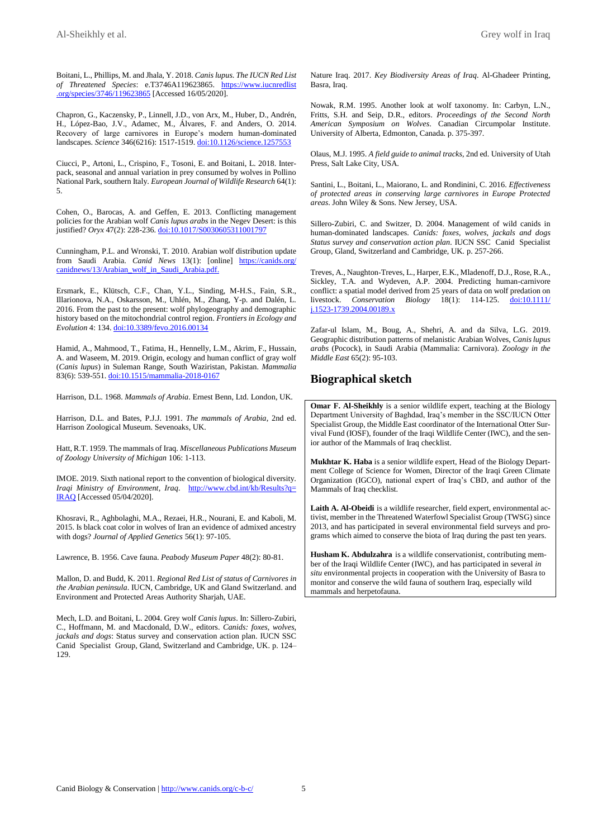Boitani, L., Phillips, M. and Jhala, Y. 2018. *Canis lupus*. *The IUCN Red List of Threatened Species*: e.T3746A119623865. [https://www.iucnredlist](https://www.iucnredlist.org/species/3746/119623865) [.org/species/3746/119623865](https://www.iucnredlist.org/species/3746/119623865) [Accessed 16/05/2020].

Chapron, G., Kaczensky, P., Linnell, J.D., von Arx, M., Huber, D., Andrén, H., López-Bao, J.V., Adamec, M., Álvares, F. and Anders, O. 2014. Recovery of large carnivores in Europe's modern human-dominated landscapes. *Science* 346(6216): 1517-1519. [doi:10.1126/science.1257553](https://science.sciencemag.org/content/346/6216/1517)

Ciucci, P., Artoni, L., Crispino, F., Tosoni, E. and Boitani, L. 2018. Interpack, seasonal and annual variation in prey consumed by wolves in Pollino National Park, southern Italy. *European Journal of Wildlife Research* 64(1): 5.

Cohen, O., Barocas, A. and Geffen, E. 2013. Conflicting management policies for the Arabian wolf *Canis lupus arabs* in the Negev Desert: is this justified? *Oryx* 47(2): 228-236. [doi:10.1017/S0030605311001797](https://doi.org/10.1017/S0030605311001797)

Cunningham, P.L. and Wronski, T. 2010. Arabian wolf distribution update from Saudi Arabia. *Canid News* 13(1): [online] [https://canids.org/](https://canids.org/canidnews/13/Arabian_wolf_in_Saudi_Arabia.pdf) [canidnews/13/Arabian\\_wolf\\_in\\_Saudi\\_Arabia.pdf.](https://canids.org/canidnews/13/Arabian_wolf_in_Saudi_Arabia.pdf)

Ersmark, E., Klütsch, C.F., Chan, Y.L., Sinding, M-H.S., Fain, S.R., Illarionova, N.A., Oskarsson, M., Uhlén, M., Zhang, Y-p. and Dalén, L. 2016. From the past to the present: wolf phylogeography and demographic history based on the mitochondrial control region. *Frontiers in Ecology and Evolution* 4: 134. [doi:10.3389/fevo.2016.00134](https://doi.org/10.3389/fevo.2016.00134)

Hamid, A., Mahmood, T., Fatima, H., Hennelly, L.M., Akrim, F., Hussain, A. and Waseem, M. 2019. Origin, ecology and human conflict of gray wolf (*Canis lupus*) in Suleman Range, South Waziristan, Pakistan. *Mammalia* 83(6): 539-551. [doi:10.1515/mammalia-2018-0167](https://doi.org/10.1515/mammalia-2018-0167)

Harrison, D.L. 1968. *Mammals of Arabia*. Ernest Benn, Ltd. London, UK.

Harrison, D.L. and Bates, P.J.J. 1991. *The mammals of Arabia*, 2nd ed. Harrison Zoological Museum. Sevenoaks, UK.

Hatt, R.T. 1959. The mammals of Iraq. *Miscellaneous Publications Museum of Zoology University of Michigan* 106: 1-113.

IMOE. 2019. Sixth national report to the convention of biological diversity. *Iraqi Ministry of Environment, Iraq*. [http://www.cbd.int/kb/Results?q=](http://www.cbd.int/kb/Results?q=IRAQ) [IRAQ](http://www.cbd.int/kb/Results?q=IRAQ) [Accessed 05/04/2020].

Khosravi, R., Aghbolaghi, M.A., Rezaei, H.R., Nourani, E. and Kaboli, M. 2015. Is black coat color in wolves of Iran an evidence of admixed ancestry with dogs? *Journal of Applied Genetics* 56(1): 97-105.

Lawrence, B. 1956. Cave fauna. *Peabody Museum Paper* 48(2): 80-81.

Mallon, D. and Budd, K. 2011. *Regional Red List of status of Carnivores in the Arabian peninsula*. IUCN, Cambridge, UK and Gland Switzerland. and Environment and Protected Areas Authority Sharjah, UAE.

Mech, L.D. and Boitani, L. 2004. Grey wolf *Canis lupus*. In: Sillero-Zubiri, C., Hoffmann, M. and Macdonald, D.W., editors. *Canids: foxes, wolves, jackals and dogs*: Status survey and conservation action plan. IUCN SSC Canid Specialist Group, Gland, Switzerland and Cambridge, UK. p. 124– 129.

Nature Iraq. 2017. *Key Biodiversity Areas of Iraq*. Al-Ghadeer Printing, Basra, Iraq.

Nowak, R.M. 1995. Another look at wolf taxonomy. In: Carbyn, L.N., Fritts, S.H. and Seip, D.R., editors. *Proceedings of the Second North American Symposium on Wolves*. Canadian Circumpolar Institute. University of Alberta, Edmonton, Canada. p. 375-397.

Olaus, M.J. 1995. *A field guide to animal tracks*, 2nd ed. University of Utah Press, Salt Lake City, USA.

Santini, L., Boitani, L., Maiorano, L. and Rondinini, C. 2016. *Effectiveness of protected areas in conserving large carnivores in Europe Protected areas*. John Wiley & Sons. New Jersey, USA.

Sillero-Zubiri, C. and Switzer, D. 2004. Management of wild canids in human-dominated landscapes. *Canids: foxes, wolves, jackals and dogs Status survey and conservation action plan.* IUCN SSC Canid Specialist Group, Gland, Switzerland and Cambridge, UK. p. 257-266.

Treves, A., Naughton‐Treves, L., Harper, E.K., Mladenoff, D.J., Rose, R.A., Sickley, T.A. and Wydeven, A.P. 2004. Predicting human-carnivore conflict: a spatial model derived from 25 years of data on wolf predation on livestock. *Conservation Biology* 18(1): 114-125. [doi:10.1111/](https://doi.org/10.1111/j.1523-1739.2004.00189.x) [j.1523-1739.2004.00189.x](https://doi.org/10.1111/j.1523-1739.2004.00189.x)

Zafar-ul Islam, M., Boug, A., Shehri, A. and da Silva, L.G. 2019. Geographic distribution patterns of melanistic Arabian Wolves, *Canis lupus arabs* (Pocock), in Saudi Arabia (Mammalia: Carnivora). *Zoology in the Middle East* 65(2): 95-103.

## **Biographical sketch**

**Omar F. Al-Sheikhly** is a senior wildlife expert, teaching at the Biology Department University of Baghdad, Iraq's member in the SSC/IUCN Otter Specialist Group, the Middle East coordinator of the International Otter Survival Fund (IOSF), founder of the Iraqi Wildlife Center (IWC), and the senior author of the Mammals of Iraq checklist.

**Mukhtar K. Haba** is a senior wildlife expert, Head of the Biology Department College of Science for Women, Director of the Iraqi Green Climate Organization (IGCO), national expert of Iraq's CBD, and author of the Mammals of Iraq checklist.

**Laith A. Al-Obeidi** is a wildlife researcher, field expert, environmental activist, member in the Threatened Waterfowl Specialist Group (TWSG) since 2013, and has participated in several environmental field surveys and programs which aimed to conserve the biota of Iraq during the past ten years.

**Husham K. Abdulzahra** is a wildlife conservationist, contributing member of the Iraqi Wildlife Center (IWC), and has participated in several *in situ* environmental projects in cooperation with the University of Basra to monitor and conserve the wild fauna of southern Iraq, especially wild mammals and herpetofauna.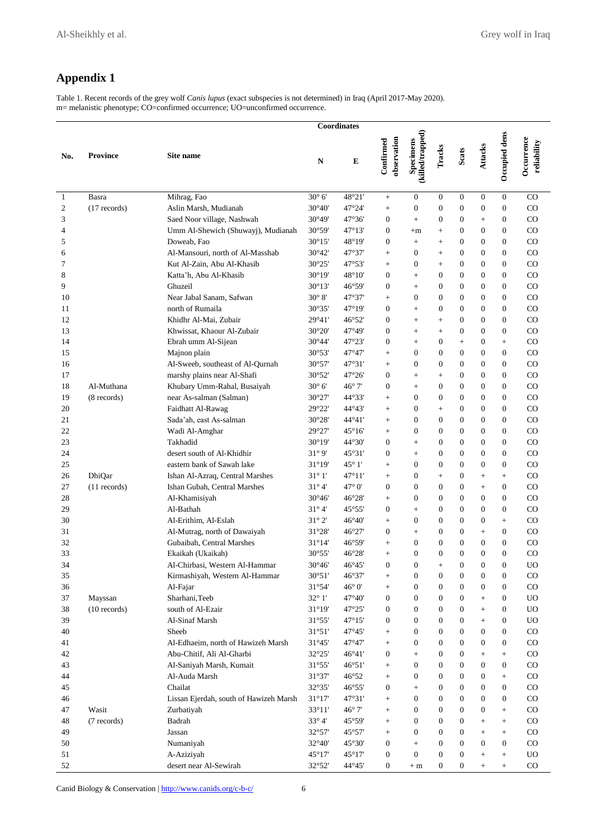# **Appendix 1**

Table 1. Recent records of the grey wolf *Canis lupus* (exact subspecies is not determined) in Iraq (April 2017-May 2020). m= melanistic phenotype; CO=confirmed occurrence; UO=unconfirmed occurrence.

|              |                 | <b>Coordinates</b>                     |                 |                 |                          |                               |                  |                  |                  |                   |                           |
|--------------|-----------------|----------------------------------------|-----------------|-----------------|--------------------------|-------------------------------|------------------|------------------|------------------|-------------------|---------------------------|
| No.          | <b>Province</b> | Site name                              | N               | $\bf E$         | observation<br>Confirmed | (killed/trapped)<br>Specimens | Tracks           | Scats            | Attacks          | Occupied dens     | Occurrence<br>reliability |
| $\mathbf{1}$ | Basra           | Mihrag, Fao                            | $30^{\circ}$ 6' | 48°21'          | $\boldsymbol{+}$         | $\mathbf{0}$                  | $\boldsymbol{0}$ | $\mathbf{0}$     | $\boldsymbol{0}$ | $\overline{0}$    | CO                        |
| 2            | $(17$ records)  | Aslin Marsh, Mudianah                  | $30^{\circ}40'$ | 47°24'          | $^{+}$                   | $\boldsymbol{0}$              | $\boldsymbol{0}$ | $\mathbf{0}$     | $\boldsymbol{0}$ | $\boldsymbol{0}$  | CO                        |
| 3            |                 | Saed Noor village, Nashwah             | 30°49'          | 47°36'          | $\boldsymbol{0}$         | $\ddot{}$                     | $\overline{0}$   | $\boldsymbol{0}$ | $+$              | $\overline{0}$    | CO                        |
| 4            |                 | Umm Al-Shewich (Shuwayj), Mudianah     | 30°59'          | $47^{\circ}13'$ | $\boldsymbol{0}$         | $+m$                          | $^{+}$           | $\mathbf{0}$     | $\boldsymbol{0}$ | $\boldsymbol{0}$  | $_{\rm CO}$               |
| 5            |                 | Doweab, Fao                            | $30^{\circ}15'$ | 48°19'          | $\boldsymbol{0}$         | $^{+}$                        | $^{+}$           | $\mathbf{0}$     | $\mathbf{0}$     | $\overline{0}$    | $_{\rm CO}$               |
| 6            |                 | Al-Mansouri, north of Al-Masshab       | $30^{\circ}42'$ | 47°37'          | $^{+}$                   | $\boldsymbol{0}$              | $+$              | $\mathbf{0}$     | $\mathbf{0}$     | $\boldsymbol{0}$  | CO.                       |
| 7            |                 | Kut Al-Zain, Abu Al-Khasib             | 30°25'          | 47°53'          | $^{+}$                   | $\overline{0}$                | $^{+}$           | $\mathbf{0}$     | $\mathbf{0}$     | $\boldsymbol{0}$  | $_{\rm CO}$               |
| 8            |                 | Katta'h, Abu Al-Khasib                 | $30^{\circ}19'$ | 48°10'          | $\boldsymbol{0}$         | $^{+}$                        | $\theta$         | $\mathbf{0}$     | $\mathbf{0}$     | $\boldsymbol{0}$  | $_{\rm CO}$               |
| 9            |                 | Ghuzeil                                | $30^{\circ}13'$ | 46°59'          | $\theta$                 | $^{+}$                        | $\theta$         | $\mathbf{0}$     | $\mathbf{0}$     | $\overline{0}$    | $_{\rm CO}$               |
| 10           |                 | Near Jabal Sanam, Safwan               | $30^\circ 8'$   | 47°37'          | $^{+}$                   | $\mathbf{0}$                  | $\boldsymbol{0}$ | $\mathbf{0}$     | $\mathbf{0}$     | $\boldsymbol{0}$  | CO                        |
| 11           |                 | north of Rumaila                       | 30°35'          | 47°19'          | $\boldsymbol{0}$         | $+$                           | $\overline{0}$   | $\mathbf{0}$     | $\mathbf{0}$     | $\overline{0}$    | CO                        |
| 12           |                 | Khidhr Al-Mai, Zubair                  | 29°41'          | 46°52'          | $\boldsymbol{0}$         | $^{+}$                        | $+$              | $\boldsymbol{0}$ | $\boldsymbol{0}$ | $\boldsymbol{0}$  | $_{\rm CO}$               |
| 13           |                 | Khwissat, Khaour Al-Zubair             | 30°20'          | 47°49'          | $\theta$                 | $^{+}$                        | $^{+}$           | $\mathbf{0}$     | $\mathbf{0}$     | $\overline{0}$    | $_{\rm CO}$               |
| 14           |                 | Ebrah umm Al-Sijean                    | $30^{\circ}44'$ | 47°23'          | $\boldsymbol{0}$         | $^{+}$                        | $\boldsymbol{0}$ | $+$              | $\boldsymbol{0}$ | $^{+}$            | $_{\rm CO}$               |
| 15           |                 | Majnon plain                           | 30°53'          | 47°47'          | $^{+}$                   | $\overline{0}$                | $\overline{0}$   | $\mathbf{0}$     | $\mathbf{0}$     | $\overline{0}$    | $_{\rm CO}$               |
| 16           |                 | Al-Sweeb, southeast of Al-Qurnah       | 30°57'          | 47°31'          | $^{+}$                   | $\overline{0}$                | $\overline{0}$   | $\mathbf{0}$     | $\mathbf{0}$     | $\boldsymbol{0}$  | $_{\rm CO}$               |
| 17           |                 | marshy plains near Al-Shafi            | 30°52'          | 47°26'          | $\boldsymbol{0}$         | $^{+}$                        | $^{+}$           | $\mathbf{0}$     | $\mathbf{0}$     | 0                 | CO                        |
| 18           | Al-Muthana      | Khubary Umm-Rahal, Busaiyah            | $30^{\circ}$ 6' | $46^{\circ}$ 7' | $\boldsymbol{0}$         | $\ddot{}$                     | $\boldsymbol{0}$ | $\mathbf{0}$     | $\mathbf{0}$     | $\overline{0}$    | CO                        |
| 19           | (8 records)     | near As-salman (Salman)                | 30°27'          | $44^{\circ}33'$ | $^{+}$                   | $\overline{0}$                | $\overline{0}$   | $\mathbf{0}$     | $\boldsymbol{0}$ | $\overline{0}$    | $_{\rm CO}$               |
| 20           |                 | Faidhatt Al-Rawag                      | 29°22'          | 44°43'          | $^{+}$                   | $\overline{0}$                | $^{+}$           | $\mathbf{0}$     | $\mathbf{0}$     | $\overline{0}$    | $_{\rm CO}$               |
| 21           |                 | Sada'ah, east As-salman                | 30°28'          | 44°41'          | $^{+}$                   | $\overline{0}$                | $\theta$         | $\mathbf{0}$     | $\mathbf{0}$     | 0                 | CO                        |
| 22           |                 | Wadi Al-Amghar                         | 29°27'          | 45°16'          | $^{+}$                   | $\overline{0}$                | $\theta$         | $\Omega$         | $\mathbf{0}$     | $\boldsymbol{0}$  | $_{\rm CO}$               |
| 23           |                 | Takhadid                               | $30^{\circ}19'$ | 44°30'          | $\boldsymbol{0}$         | $\ddot{}$                     | $\theta$         | $\mathbf{0}$     | $\mathbf{0}$     | $\overline{0}$    | $_{\rm CO}$               |
| 24           |                 | desert south of Al-Khidhir             | $31^\circ 9'$   | 45°31'          | $\theta$                 | $^{+}$                        | $\overline{0}$   | $\mathbf{0}$     | $\mathbf{0}$     | $\overline{0}$    | $_{\rm CO}$               |
| 25           |                 | eastern bank of Sawah lake             | 31°19'          | $45^{\circ}$ 1' | $\boldsymbol{+}$         | $\mathbf{0}$                  | $\boldsymbol{0}$ | $\mathbf{0}$     | $\mathbf{0}$     | 0                 | CO                        |
| 26           | DhiQar          | Ishan Al-Azraq, Central Marshes        | $31^\circ 1'$   | 47°11'          | $+$                      | $\boldsymbol{0}$              | $+$              | $\mathbf{0}$     | $+$              | $^{+}$            | CO                        |
| 27           | $(11$ records)  | Ishan Gubah, Central Marshes           | $31^\circ 4'$   | $47^\circ$ 0'   | $\boldsymbol{0}$         | $\mathbf{0}$                  | $\overline{0}$   | $\boldsymbol{0}$ | $+$              | $\boldsymbol{0}$  | $_{\rm CO}$               |
| 28           |                 | Al-Khamisiyah                          | $30^{\circ}46'$ | 46°28'          | $+$                      | $\overline{0}$                | $\overline{0}$   | $\mathbf{0}$     | $\mathbf{0}$     | $\overline{0}$    | $_{\rm CO}$               |
| 29           |                 | Al-Bathah                              | $31^\circ 4'$   | 45°55'          | $\boldsymbol{0}$         | $^{+}$                        | $\boldsymbol{0}$ | $\mathbf{0}$     | $\mathbf{0}$     | 0                 | $_{\rm CO}$               |
| 30           |                 | Al-Erithim, Al-Eslah                   | $31^\circ 2'$   | 46°40'          | $^{+}$                   | $\mathbf{0}$                  | $\overline{0}$   | $\mathbf{0}$     | $\mathbf{0}$     | $^{+}$            | $_{\rm CO}$               |
| 31           |                 | Al-Mutrag, north of Dawaiyah           | 31°28'          | 46°27'          | $\boldsymbol{0}$         | $^{+}$                        | $\overline{0}$   | $\mathbf{0}$     | $+$              | $\boldsymbol{0}$  | $_{\rm CO}$               |
| 32           |                 | Gubaibah, Central Marshes              | 31°14'          | 46°59'          | $^{+}$                   | $\mathbf{0}$                  | $\overline{0}$   | $\mathbf{0}$     | $\mathbf{0}$     | $\overline{0}$    | $_{\rm CO}$               |
| 33           |                 | Ekaikah (Ukaikah)                      | 30°55'          | 46°28'          | $^{+}$                   | $\mathbf{0}$                  | $\overline{0}$   | $\mathbf{0}$     | $\mathbf{0}$     | $\overline{0}$    | CO                        |
| 34           |                 | Al-Chirbasi, Western Al-Hammar         | $30^{\circ}46'$ | 46°45'          | $\overline{0}$           | $\overline{0}$                | $\ddot{}$        | $\mathbf{0}$     | $\mathbf{0}$     | $\overline{0}$    | UO                        |
| 35           |                 | Kirmashiyah, Western Al-Hammar         | 30°51'          | 46°37'          |                          | $\boldsymbol{0}$              | $\mathbf{0}$     | $\boldsymbol{0}$ | $\boldsymbol{0}$ | $\boldsymbol{0}$  | $_{\rm CO}$               |
| 36           |                 | Al-Fajar                               | 31°54'          | $46^{\circ}$ 0' | $^{+}$                   | $\boldsymbol{0}$              | $\boldsymbol{0}$ | $\boldsymbol{0}$ | $\boldsymbol{0}$ | $\boldsymbol{0}$  | $_{\rm CO}$               |
| 37           | Mayssan         | Sharhani, Teeb                         | $32^{\circ}$ 1' | 47°40'          | $\boldsymbol{0}$         | $\boldsymbol{0}$              | $\boldsymbol{0}$ | $\mathbf{0}$     | $^{+}$           | $\boldsymbol{0}$  | <b>UO</b>                 |
| 38           | $(10$ records)  | south of Al-Ezair                      | $31^{\circ}19'$ | 47°25'          | $\boldsymbol{0}$         | $\boldsymbol{0}$              | $\boldsymbol{0}$ | $\mathbf{0}$     | $+$              | 0                 | <b>UO</b>                 |
| 39           |                 | Al-Sinaf Marsh                         | $31^{\circ}55'$ | 47°15'          | $\boldsymbol{0}$         | $\boldsymbol{0}$              | $\boldsymbol{0}$ | $\boldsymbol{0}$ | $\! + \!\!\!\!$  | $\boldsymbol{0}$  | <b>UO</b>                 |
| 40           |                 | Sheeb                                  | 31°51'          | 47°45'          | $\boldsymbol{+}$         | $\mathbf{0}$                  | $\boldsymbol{0}$ | $\mathbf{0}$     | $\mathbf{0}$     | $\boldsymbol{0}$  | $_{\rm CO}$               |
| 41           |                 | Al-Edhaeim, north of Hawizeh Marsh     | $31^{\circ}45'$ | 47°47'          | $^+$                     | $\boldsymbol{0}$              | $\boldsymbol{0}$ | $\boldsymbol{0}$ | $\boldsymbol{0}$ | $\boldsymbol{0}$  | $_{\rm CO}$               |
| 42           |                 | Abu-Chitif, Ali Al-Gharbi              | 32°25'          | $46^{\circ}41'$ | $\boldsymbol{0}$         | $\boldsymbol{+}$              | $\boldsymbol{0}$ | $\mathbf{0}$     |                  | $^{+}$            | $_{\rm CO}$               |
| 43           |                 | Al-Saniyah Marsh, Kumait               | 31°55'          | 46°51'          | $\! + \!\!\!\!$          | $\boldsymbol{0}$              | $\boldsymbol{0}$ | $\boldsymbol{0}$ | $\boldsymbol{0}$ | $\boldsymbol{0}$  | $_{\rm CO}$               |
| 44           |                 | Al-Auda Marsh                          | 31°37'          | 46°52           | $\boldsymbol{+}$         | $\boldsymbol{0}$              | $\boldsymbol{0}$ | $\boldsymbol{0}$ | $\mathbf{0}$     | $^{+}$            | $_{\rm CO}$               |
| 45           |                 | Chailat                                | 32°35'          | 46°55'          | $\boldsymbol{0}$         | $\ddot{}$                     | $\boldsymbol{0}$ | $\overline{0}$   | $\boldsymbol{0}$ | $\boldsymbol{0}$  | $_{\rm CO}$               |
| 46           |                 | Lissan Ejerdah, south of Hawizeh Marsh | $31^{\circ}17'$ | 47°31'          | $\boldsymbol{+}$         | $\boldsymbol{0}$              | $\boldsymbol{0}$ | $\overline{0}$   | $\mathbf{0}$     | 0                 | $_{\rm CO}$               |
| 47           | Wasit           | Zurbatiyah                             | 33°11'          | $46^\circ$ 7'   | $\boldsymbol{+}$         | $\boldsymbol{0}$              | $\boldsymbol{0}$ | $\mathbf{0}$     | $\mathbf{0}$     | $\qquad \qquad +$ | $_{\rm CO}$               |
| 48           | (7 records)     | Badrah                                 | $33^{\circ}4'$  | 45°59'          | $\boldsymbol{+}$         | $\boldsymbol{0}$              | $\boldsymbol{0}$ | $\mathbf{0}$     | $+$              | $\qquad \qquad +$ | $_{\rm CO}$               |
| 49           |                 | Jassan                                 | 32°57'          | 45°57'          | $^+$                     | $\boldsymbol{0}$              | $\boldsymbol{0}$ | $\mathbf{0}$     | $+$              | $^{+}$            | $_{\rm CO}$               |
| 50           |                 | Numaniyah                              | 32°40'          | 45°30'          | $\boldsymbol{0}$         | $^{+}$                        | $\boldsymbol{0}$ | $\mathbf{0}$     | $\mathbf{0}$     | $\boldsymbol{0}$  | $_{\rm CO}$               |
| 51           |                 | A-Aziziyah                             | 45°17'          | $45^{\circ}17'$ | $\mathbf{0}$             | $\boldsymbol{0}$              | $\mathbf{0}$     | $\mathbf{0}$     |                  | $\! + \!\!\!\!$   | <b>UO</b>                 |
| 52           |                 | desert near Al-Sewirah                 | 32°52'          | 44°45'          | $\boldsymbol{0}$         | $+ m$                         | $\boldsymbol{0}$ | $\overline{0}$   | $\boldsymbol{+}$ | $^{+}$            | $_{\rm CO}$               |